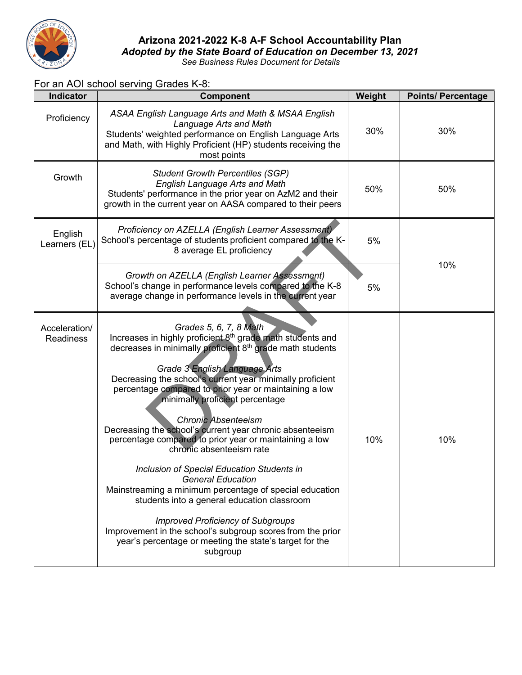

## **Arizona 2021-2022 K-8 A-F School Accountability Plan** *Adopted by the State Board of Education on December 13, 2021*

*See Business Rules Document for Details*

## For an AOI school serving Grades K-8:

| <b>Indicator</b>                  | Component                                                                                                                                                                                                                                                                                                                                                                                                                                                                                                                                                                                                                                                                                                                                                                                                                                                                                                                 | Weight | <b>Points/ Percentage</b> |  |
|-----------------------------------|---------------------------------------------------------------------------------------------------------------------------------------------------------------------------------------------------------------------------------------------------------------------------------------------------------------------------------------------------------------------------------------------------------------------------------------------------------------------------------------------------------------------------------------------------------------------------------------------------------------------------------------------------------------------------------------------------------------------------------------------------------------------------------------------------------------------------------------------------------------------------------------------------------------------------|--------|---------------------------|--|
| Proficiency                       | ASAA English Language Arts and Math & MSAA English<br>Language Arts and Math<br>Students' weighted performance on English Language Arts<br>and Math, with Highly Proficient (HP) students receiving the<br>most points                                                                                                                                                                                                                                                                                                                                                                                                                                                                                                                                                                                                                                                                                                    | 30%    | 30%                       |  |
| Growth                            | <b>Student Growth Percentiles (SGP)</b><br><b>English Language Arts and Math</b><br>Students' performance in the prior year on AzM2 and their<br>growth in the current year on AASA compared to their peers                                                                                                                                                                                                                                                                                                                                                                                                                                                                                                                                                                                                                                                                                                               | 50%    | 50%                       |  |
| English<br>Learners (EL)          | Proficiency on AZELLA (English Learner Assessment)<br>School's percentage of students proficient compared to the K-<br>8 average EL proficiency                                                                                                                                                                                                                                                                                                                                                                                                                                                                                                                                                                                                                                                                                                                                                                           | 5%     | 10%                       |  |
|                                   | Growth on AZELLA (English Learner Assessment)<br>School's change in performance levels compared to the K-8<br>average change in performance levels in the current year                                                                                                                                                                                                                                                                                                                                                                                                                                                                                                                                                                                                                                                                                                                                                    | 5%     |                           |  |
| Acceleration/<br><b>Readiness</b> | Grades 5, 6, 7, 8 Math<br>Increases in highly proficient 8 <sup>th</sup> grade math students and<br>decreases in minimally proficient 8 <sup>th</sup> grade math students<br>Grade 3 English Language Arts<br>Decreasing the school's current year minimally proficient<br>percentage compared to prior year or maintaining a low<br>minimally proficient percentage<br><b>Chronic Absenteeism</b><br>Decreasing the school's current year chronic absenteeism<br>percentage compared to prior year or maintaining a low<br>chronic absenteeism rate<br>Inclusion of Special Education Students in<br><b>General Education</b><br>Mainstreaming a minimum percentage of special education<br>students into a general education classroom<br><b>Improved Proficiency of Subgroups</b><br>Improvement in the school's subgroup scores from the prior<br>year's percentage or meeting the state's target for the<br>subgroup | 10%    | 10%                       |  |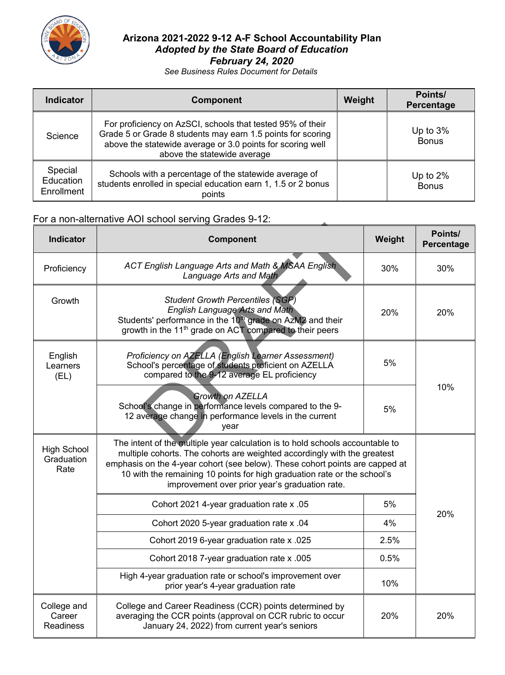

## **Arizona 2021-2022 9-12 A-F School Accountability Plan** *Adopted by the State Board of Education February 24, 2020*

*See Business Rules Document for Details*

| <b>Indicator</b>                   | <b>Component</b>                                                                                                                                                                                                       | Weight | Points/<br>Percentage       |
|------------------------------------|------------------------------------------------------------------------------------------------------------------------------------------------------------------------------------------------------------------------|--------|-----------------------------|
| Science                            | For proficiency on AzSCI, schools that tested 95% of their<br>Grade 5 or Grade 8 students may earn 1.5 points for scoring<br>above the statewide average or 3.0 points for scoring well<br>above the statewide average |        | Up to $3%$<br><b>Bonus</b>  |
| Special<br>Education<br>Enrollment | Schools with a percentage of the statewide average of<br>students enrolled in special education earn 1, 1.5 or 2 bonus<br>points                                                                                       |        | Up to $2\%$<br><b>Bonus</b> |

# For a non-alternative AOI school serving Grades 9-12:

| <b>Indicator</b>                          | Component                                                                                                                                                                                                                                                                                                                                                               | Weight | Points/<br>Percentage |  |
|-------------------------------------------|-------------------------------------------------------------------------------------------------------------------------------------------------------------------------------------------------------------------------------------------------------------------------------------------------------------------------------------------------------------------------|--------|-----------------------|--|
| Proficiency                               | <b>ACT English Language Arts and Math &amp; MSAA English</b><br>Language Arts and Math                                                                                                                                                                                                                                                                                  | 30%    | 30%                   |  |
| Growth                                    | <b>Student Growth Percentiles (SGP)</b><br><b>English Language Arts and Math</b><br>Students' performance in the 10 <sup>th</sup> grade on AzM2 and their<br>growth in the 11 <sup>th</sup> grade on ACT compared to their peers                                                                                                                                        | 20%    | 20%                   |  |
| English<br>Learners<br>(EL)               | Proficiency on AZELLA (English Learner Assessment)<br>School's percentage of students proficient on AZELLA<br>compared to the 9-12 average EL proficiency                                                                                                                                                                                                               | 5%     | 10%                   |  |
|                                           | <b>Growth on AZELLA</b><br>School's change in performance levels compared to the 9-<br>12 average change in performance levels in the current<br>vear                                                                                                                                                                                                                   | 5%     |                       |  |
| <b>High School</b><br>Graduation<br>Rate  | The intent of the multiple year calculation is to hold schools accountable to<br>multiple cohorts. The cohorts are weighted accordingly with the greatest<br>emphasis on the 4-year cohort (see below). These cohort points are capped at<br>10 with the remaining 10 points for high graduation rate or the school's<br>improvement over prior year's graduation rate. |        |                       |  |
|                                           | Cohort 2021 4-year graduation rate x .05                                                                                                                                                                                                                                                                                                                                | 5%     |                       |  |
|                                           | Cohort 2020 5-year graduation rate x .04                                                                                                                                                                                                                                                                                                                                | 4%     | 20%                   |  |
|                                           | Cohort 2019 6-year graduation rate x .025                                                                                                                                                                                                                                                                                                                               | 2.5%   |                       |  |
|                                           | Cohort 2018 7-year graduation rate x .005                                                                                                                                                                                                                                                                                                                               | 0.5%   |                       |  |
|                                           | High 4-year graduation rate or school's improvement over<br>prior year's 4-year graduation rate                                                                                                                                                                                                                                                                         | 10%    |                       |  |
| College and<br>Career<br><b>Readiness</b> | College and Career Readiness (CCR) points determined by<br>averaging the CCR points (approval on CCR rubric to occur<br>January 24, 2022) from current year's seniors                                                                                                                                                                                                   | 20%    | 20%                   |  |